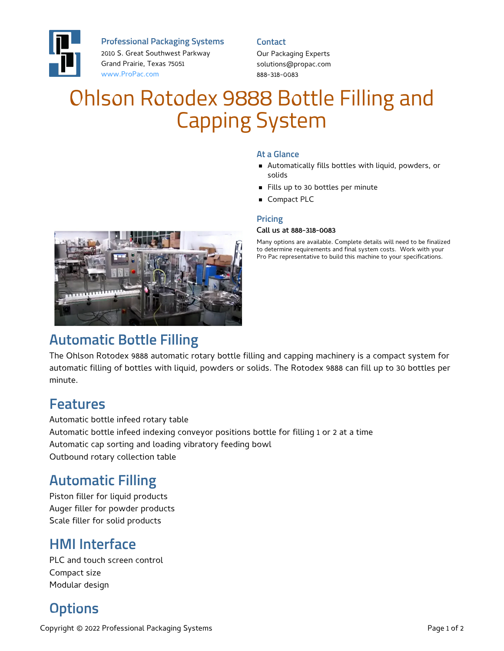

**Professional Packaging Systems**

2010 S. Great Southwest Parkway Grand Prairie, Texas 75051 [www.ProPac.com](https://www.propac.com/)

**Contact**

Our Packaging Experts solutions@propac.com 888-318-0083

# Ohlson Rotodex 9888 Bottle Filling and Capping System



- Automatically fills bottles with liquid, powders, or solids
- Fills up to 30 bottles per minute
- Compact PLC

#### **Pricing**

#### Call us at 888-318-0083

Many options are available. Complete details will need to be finalized to determine requirements and final system costs. Work with your Pro Pac representative to build this machine to your specifications.



# **Automatic Bottle Filling**

The Ohlson Rotodex 9888 automatic rotary bottle filling and capping machinery is a compact system for automatic filling of bottles with liquid, powders or solids. The Rotodex 9888 can fill up to 30 bottles per minute.

### **Features**

Automatic bottle infeed rotary table Automatic bottle infeed indexing conveyor positions bottle for filling 1 or 2 at a time Automatic cap sorting and loading vibratory feeding bowl Outbound rotary collection table

# **Automatic Filling**

Piston filler for liquid products Auger filler for powder products Scale filler for solid products

### **HMI Interface**

PLC and touch screen control Compact size Modular design

# **Options**